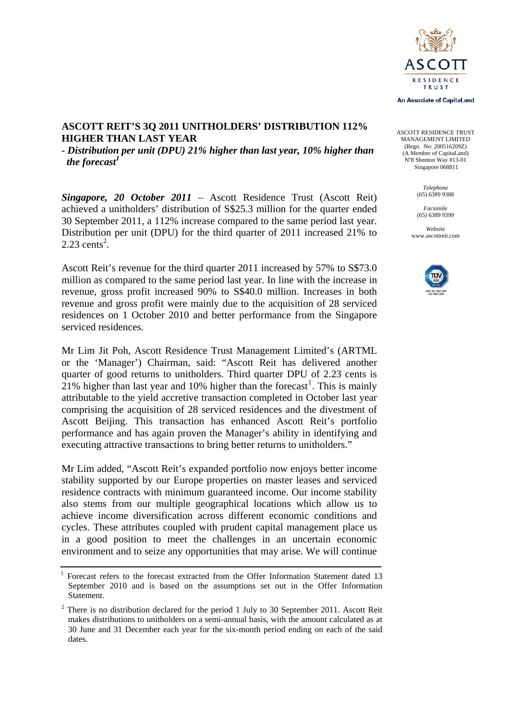

An Associate of CapitaLand

ASCOTT RESIDENCE TRUST MANAGEMENT LIMITED (Regn. No: 200516209Z) (A Member of CapitaLand) No 8 Shenton Way #13-01 Singapore 068811

> *Telephone*  (65) 6389 9388

*Facsimile*  (65) 6389 9399 *Website* 

www.ascottreit.com



### **ASCOTT REIT'S 3Q 2011 UNITHOLDERS' DISTRIBUTION 112% HIGHER THAN LAST YEAR**

*- Distribution per unit (DPU) 21% higher than last year, 10% higher than the forecast<sup>1</sup>*

*Singapore, 20 October 2011* – Ascott Residence Trust (Ascott Reit) achieved a unitholders' distribution of S\$25.3 million for the quarter ended 30 September 2011, a 112% increase compared to the same period last year. Distribution per unit (DPU) for the third quarter of 2011 increased 21% to  $2.23$  cents<sup>2</sup>.

Ascott Reit's revenue for the third quarter 2011 increased by 57% to S\$73.0 million as compared to the same period last year. In line with the increase in revenue, gross profit increased 90% to S\$40.0 million. Increases in both revenue and gross profit were mainly due to the acquisition of 28 serviced residences on 1 October 2010 and better performance from the Singapore serviced residences.

Mr Lim Jit Poh, Ascott Residence Trust Management Limited's (ARTML or the 'Manager') Chairman, said: "Ascott Reit has delivered another quarter of good returns to unitholders. Third quarter DPU of 2.23 cents is  $21\%$  $21\%$  $21\%$  higher than last year and 10% higher than the forecast<sup>1</sup>. This is mainly attributable to the yield accretive transaction completed in October last year comprising the acquisition of 28 serviced residences and the divestment of Ascott Beijing. This transaction has enhanced Ascott Reit's portfolio performance and has again proven the Manager's ability in identifying and executing attractive transactions to bring better returns to unitholders."

Mr Lim added, "Ascott Reit's expanded portfolio now enjoys better income stability supported by our Europe properties on master leases and serviced residence contracts with minimum guaranteed income. Our income stability also stems from our multiple geographical locations which allow us to achieve income diversification across different economic conditions and cycles. These attributes coupled with prudent capital management place us in a good position to meet the challenges in an uncertain economic environment and to seize any opportunities that may arise. We will continue

 $\overline{a}$ 

<span id="page-0-0"></span><sup>1</sup> Forecast refers to the forecast extracted from the Offer Information Statement dated 13 September 2010 and is based on the assumptions set out in the Offer Information Statement.

 $2^2$  There is no distribution declared for the period 1 July to 30 September 2011. Ascott Reit makes distributions to unitholders on a semi-annual basis, with the amount calculated as at 30 June and 31 December each year for the six-month period ending on each of the said dates.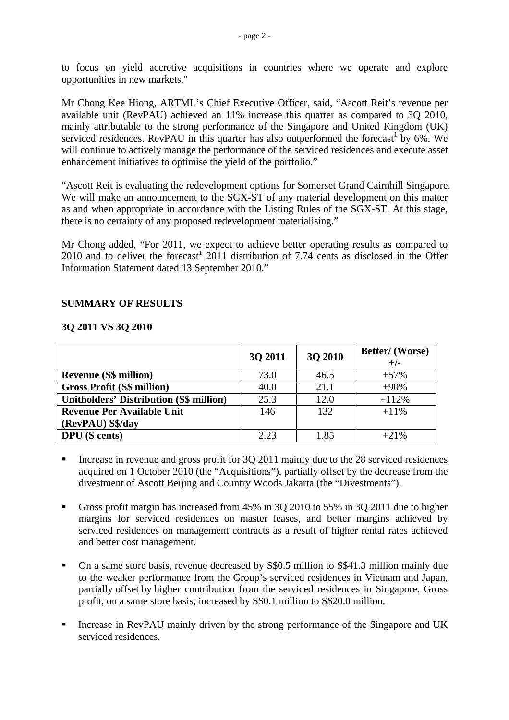to focus on yield accretive acquisitions in countries where we operate and explore opportunities in new markets."

Mr Chong Kee Hiong, ARTML's Chief Executive Officer, said, "Ascott Reit's revenue per available unit (RevPAU) achieved an 11% increase this quarter as compared to 3Q 2010, mainly attributable to the strong performance of the Singapore and United Kingdom (UK) serviced residences. RevPAU in this quarter has also outperformed the forecast<sup>1</sup> by 6%. We will continue to actively manage the performance of the serviced residences and execute asset enhancement initiatives to optimise the yield of the portfolio."

"Ascott Reit is evaluating the redevelopment options for Somerset Grand Cairnhill Singapore. We will make an announcement to the SGX-ST of any material development on this matter as and when appropriate in accordance with the Listing Rules of the SGX-ST. At this stage, there is no certainty of any proposed redevelopment materialising."

Mr Chong added, "For 2011, we expect to achieve better operating results as compared to 2010 and to deliver the forecast<sup>1</sup> 2011 distribution of 7.74 cents as disclosed in the Offer Information Statement dated 13 September 2010."

### **SUMMARY OF RESULTS**

#### **3Q 2011 VS 3Q 2010**

|                                                | 3Q 2011 | 3Q 2010 | Better/(Worse)<br>$+/-$ |
|------------------------------------------------|---------|---------|-------------------------|
| <b>Revenue (S\$ million)</b>                   | 73.0    | 46.5    | $+57%$                  |
| <b>Gross Profit (S\$ million)</b>              | 40.0    | 21.1    | $+90%$                  |
| <b>Unitholders' Distribution (S\$ million)</b> | 25.3    | 12.0    | $+112%$                 |
| <b>Revenue Per Available Unit</b>              | 146     | 132     | $+11\%$                 |
| (RevPAU) S\$/day                               |         |         |                         |
| <b>DPU</b> (S cents)                           | 2.23    | 1.85    | $+21%$                  |

- Increase in revenue and gross profit for 3Q 2011 mainly due to the 28 serviced residences acquired on 1 October 2010 (the "Acquisitions"), partially offset by the decrease from the divestment of Ascott Beijing and Country Woods Jakarta (the "Divestments").
- Gross profit margin has increased from 45% in 3Q 2010 to 55% in 3Q 2011 due to higher margins for serviced residences on master leases, and better margins achieved by serviced residences on management contracts as a result of higher rental rates achieved and better cost management.
- On a same store basis, revenue decreased by S\$0.5 million to S\$41.3 million mainly due to the weaker performance from the Group's serviced residences in Vietnam and Japan, partially offset by higher contribution from the serviced residences in Singapore. Gross profit, on a same store basis, increased by S\$0.1 million to S\$20.0 million.
- Increase in RevPAU mainly driven by the strong performance of the Singapore and UK serviced residences.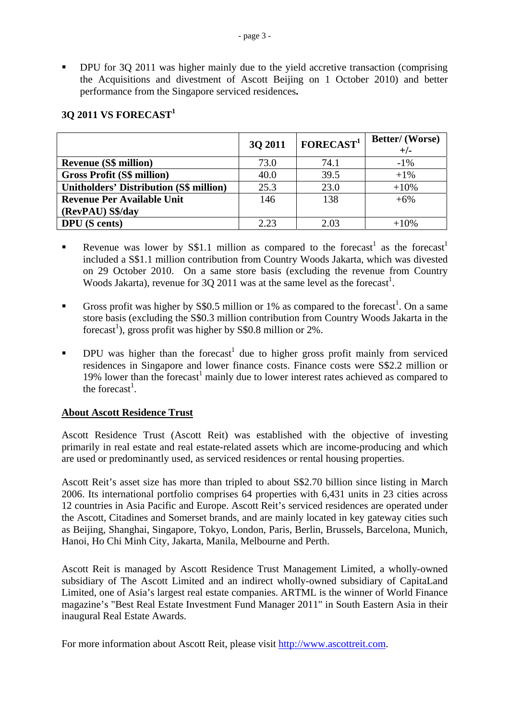DPU for 3Q 2011 was higher mainly due to the yield accretive transaction (comprising the Acquisitions and divestment of Ascott Beijing on 1 October 2010) and better performance from the Singapore serviced residences**.** 

|                                                | 3Q 2011 | FORECAST <sup>1</sup> | <b>Better/</b> (Worse) |
|------------------------------------------------|---------|-----------------------|------------------------|
|                                                |         |                       | $+/-$                  |
| <b>Revenue (S\$ million)</b>                   | 73.0    | 74.1                  | $-1\%$                 |
| <b>Gross Profit (S\$ million)</b>              | 40.0    | 39.5                  | $+1\%$                 |
| <b>Unitholders' Distribution (S\$ million)</b> | 25.3    | 23.0                  | $+10%$                 |
| <b>Revenue Per Available Unit</b>              | 146     | 138                   | $+6%$                  |
| (RevPAU) S\$/day                               |         |                       |                        |
| <b>DPU</b> (S cents)                           | 2.23    | 2.03                  | $+10%$                 |

# **3Q 2011 VS FORECAST1**

- Revenue was lower by S\$1.1 million as compared to the forecast<sup>1</sup> as the forecast<sup>1</sup> included a S\$1.1 million contribution from Country Woods Jakarta, which was divested on 29 October 2010. On a same store basis (excluding the revenue from Country Woods Jakarta), revenue for 3Q 2011 was at the same level as the forecast<sup>1</sup>.
- Gross profit was higher by S\$0.5 million or 1% as compared to the forecast<sup>1</sup>. On a same store basis (excluding the S\$0.3 million contribution from Country Woods Jakarta in the forecast<sup>1</sup>), gross profit was higher by S\$0.8 million or 2%.
- **DPU** was higher than the forecast<sup>1</sup> due to higher gross profit mainly from serviced residences in Singapore and lower finance costs. Finance costs were S\$2.2 million or 19% lower than the forecast<sup>1</sup> mainly due to lower interest rates achieved as compared to the forecast<sup>1</sup>.

# **About Ascott Residence Trust**

Ascott Residence Trust (Ascott Reit) was established with the objective of investing primarily in real estate and real estate-related assets which are income-producing and which are used or predominantly used, as serviced residences or rental housing properties.

Ascott Reit's asset size has more than tripled to about S\$2.70 billion since listing in March 2006. Its international portfolio comprises 64 properties with 6,431 units in 23 cities across 12 countries in Asia Pacific and Europe. Ascott Reit's serviced residences are operated under the Ascott, Citadines and Somerset brands, and are mainly located in key gateway cities such as Beijing, Shanghai, Singapore, Tokyo, London, Paris, Berlin, Brussels, Barcelona, Munich, Hanoi, Ho Chi Minh City, Jakarta, Manila, Melbourne and Perth.

Ascott Reit is managed by Ascott Residence Trust Management Limited, a wholly-owned subsidiary of The Ascott Limited and an indirect wholly-owned subsidiary of CapitaLand Limited, one of Asia's largest real estate companies. ARTML is the winner of World Finance magazine's "Best Real Estate Investment Fund Manager 2011" in South Eastern Asia in their inaugural Real Estate Awards.

For more information about Ascott Reit, please visit [http://www.ascottreit.com.](http://www.ascottreit.com/)